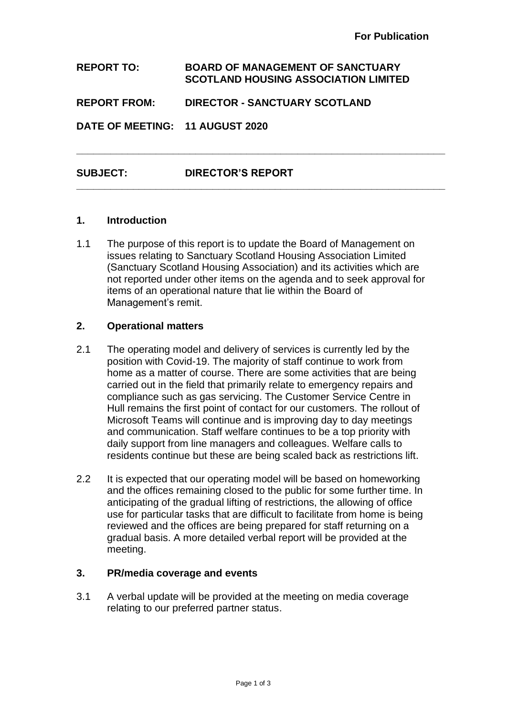**REPORT TO: BOARD OF MANAGEMENT OF SANCTUARY SCOTLAND HOUSING ASSOCIATION LIMITED REPORT FROM: DIRECTOR - SANCTUARY SCOTLAND DATE OF MEETING: 11 AUGUST 2020** 

**\_\_\_\_\_\_\_\_\_\_\_\_\_\_\_\_\_\_\_\_\_\_\_\_\_\_\_\_\_\_\_\_\_\_\_\_\_\_\_\_\_\_\_\_\_\_\_\_\_\_\_\_\_\_\_\_\_\_\_\_\_\_\_\_\_**

**\_\_\_\_\_\_\_\_\_\_\_\_\_\_\_\_\_\_\_\_\_\_\_\_\_\_\_\_\_\_\_\_\_\_\_\_\_\_\_\_\_\_\_\_\_\_\_\_\_\_\_\_\_\_\_\_\_\_\_\_\_\_\_\_\_**

# **SUBJECT: DIRECTOR'S REPORT**

## **1. Introduction**

1.1 The purpose of this report is to update the Board of Management on issues relating to Sanctuary Scotland Housing Association Limited (Sanctuary Scotland Housing Association) and its activities which are not reported under other items on the agenda and to seek approval for items of an operational nature that lie within the Board of Management's remit.

### **2. Operational matters**

- 2.1 The operating model and delivery of services is currently led by the position with Covid-19. The majority of staff continue to work from home as a matter of course. There are some activities that are being carried out in the field that primarily relate to emergency repairs and compliance such as gas servicing. The Customer Service Centre in Hull remains the first point of contact for our customers. The rollout of Microsoft Teams will continue and is improving day to day meetings and communication. Staff welfare continues to be a top priority with daily support from line managers and colleagues. Welfare calls to residents continue but these are being scaled back as restrictions lift.
- 2.2 It is expected that our operating model will be based on homeworking and the offices remaining closed to the public for some further time. In anticipating of the gradual lifting of restrictions, the allowing of office use for particular tasks that are difficult to facilitate from home is being reviewed and the offices are being prepared for staff returning on a gradual basis. A more detailed verbal report will be provided at the meeting.

### **3. PR/media coverage and events**

3.1 A verbal update will be provided at the meeting on media coverage relating to our preferred partner status.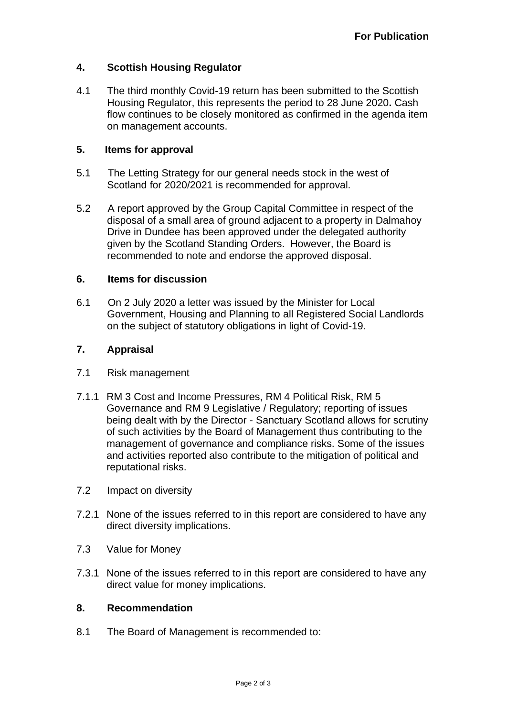## **4. Scottish Housing Regulator**

4.1 The third monthly Covid-19 return has been submitted to the Scottish Housing Regulator, this represents the period to 28 June 2020**.** Cash flow continues to be closely monitored as confirmed in the agenda item on management accounts.

### **5. Items for approval**

- 5.1 The Letting Strategy for our general needs stock in the west of Scotland for 2020/2021 is recommended for approval.
- 5.2 A report approved by the Group Capital Committee in respect of the disposal of a small area of ground adjacent to a property in Dalmahoy Drive in Dundee has been approved under the delegated authority given by the Scotland Standing Orders. However, the Board is recommended to note and endorse the approved disposal.

### **6. Items for discussion**

6.1 On 2 July 2020 a letter was issued by the Minister for Local Government, Housing and Planning to all Registered Social Landlords on the subject of statutory obligations in light of Covid-19.

## **7. Appraisal**

- 7.1 Risk management
- 7.1.1 RM 3 Cost and Income Pressures, RM 4 Political Risk, RM 5 Governance and RM 9 Legislative / Regulatory; reporting of issues being dealt with by the Director - Sanctuary Scotland allows for scrutiny of such activities by the Board of Management thus contributing to the management of governance and compliance risks. Some of the issues and activities reported also contribute to the mitigation of political and reputational risks.
- 7.2 Impact on diversity
- 7.2.1 None of the issues referred to in this report are considered to have any direct diversity implications.
- 7.3 Value for Money
- 7.3.1 None of the issues referred to in this report are considered to have any direct value for money implications.

#### **8. Recommendation**

8.1 The Board of Management is recommended to: